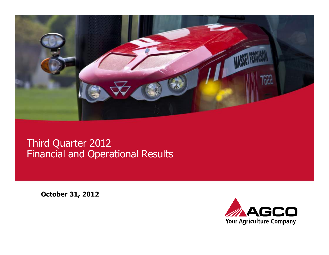

### Third Quarter 2012 Financial and Operational Results

October 31, 2012

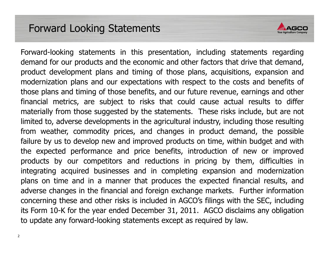### Forward Looking Statements



Forward-looking statements in this presentation, including statements regarding demand for our products and the economic and other factors that drive that demand, product development plans and timing of those plans, acquisitions, expansion and modernization plans and our expectations with respect to the costs and benefits of those plans and timing of those benefits, and our future revenue, earnings and other financial metrics, are subject to risks that could cause actual results to differ materially from those suggested by the statements. These risks include, but are not limited to, adverse developments in the agricultural industry, including those resulting from weather, commodity prices, and changes in product demand, the possible failure by us to develop new and improved products on time, within budget and with the expected performance and price benefits, introduction of new or improved products by our competitors and reductions in pricing by them, difficulties in integrating acquired businesses and in completing expansion and modernization plans on time and in <sup>a</sup> manner that produces the expected financial results, and adverse changes in the financial and foreign exchange markets. Further information concerning these and other risks is included in AGCO's filings with the SEC, including its Form 10-K for the year ended December 31, 2011. AGCO disclaims any obligation to update any forward-looking statements except as required by law.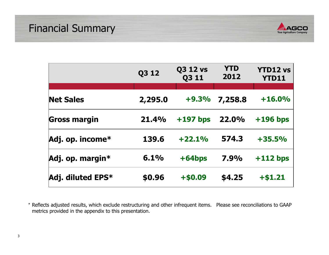

|                     | Q3 12   | <b>Q3 12 vs</b><br><b>Q311</b> | <b>YTD</b><br>2012 | <b>YTD12 vs</b><br><b>YTD11</b> |
|---------------------|---------|--------------------------------|--------------------|---------------------------------|
|                     |         |                                |                    |                                 |
| <b>Net Sales</b>    | 2,295.0 | $+9.3%$                        | 7,258.8            | $+16.0%$                        |
| <b>Gross margin</b> | 21.4%   | $+197$ bps                     | 22.0%              | $+196$ bps                      |
| Adj. op. income*    | 139.6   | $+22.1%$                       | 574.3              | $+35.5%$                        |
| Adj. op. margin*    | 6.1%    | $+64bps$                       | 7.9%               | $+112$ bps                      |
| Adj. diluted EPS*   | \$0.96  | $+ $0.09$                      | \$4.25             | $+ $1.21$                       |

\* Reflects adjusted results, which exclude restructuring and other infrequent items. Please see reconciliations to GAAP metrics provided in the appendix to this presentation.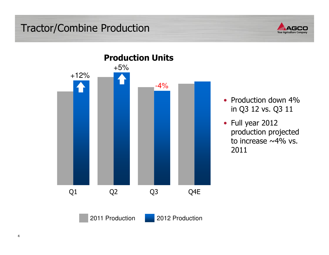### Tractor/Combine Production





- Production down 4% in Q3 12 vs. Q3 11
- Full year 2012 production projected to increase  $\sim$ 4% vs. 2011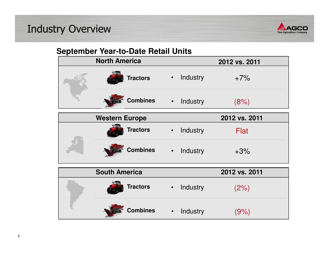## Industry Overview



### **September Year-to-Date Retail Units**

|  | <b>North America</b>  |           |          | 2012 vs. 2011 |
|--|-----------------------|-----------|----------|---------------|
|  | <b>Tractors</b>       | $\bullet$ | Industry | $+7%$         |
|  | <b>Combines</b>       | $\bullet$ | Industry | (8%)          |
|  | <b>Western Europe</b> |           |          | 2012 vs. 2011 |
|  | <b>Tractors</b>       | $\bullet$ | Industry | Flat          |
|  | <b>Combines</b>       | $\bullet$ | Industry | $+3%$         |
|  | <b>South America</b>  |           |          | 2012 vs. 2011 |
|  | <b>Tractors</b>       | $\bullet$ | Industry | (2%)          |
|  | <b>Combines</b>       | $\bullet$ | Industry | (9%           |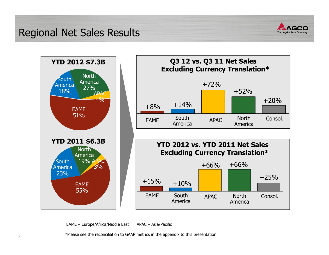Regional Net Sales Results









EAME – Europe/Africa/Middle East APAC – Asia/Pacific

\*Please see the reconciliation to GAAP metrics in the appendix to this presentation.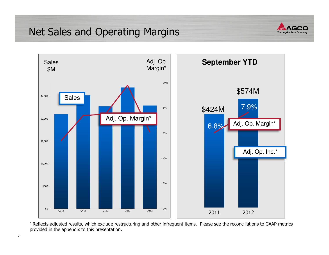### Net Sales and Operating Margins





\* Reflects adjusted results, which exclude restructuring and other infrequent items. Please see the reconciliations to GAAP metrics provided in the appendix to this presentation.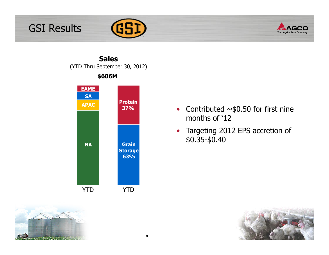# GSI Results





Sales(YTD Thru September 30, 2012)





- •Contributed  $\sim$ \$0.50 for first nine months of '12
- Targeting 2012 EPS accretion of \$0.35-\$0.40

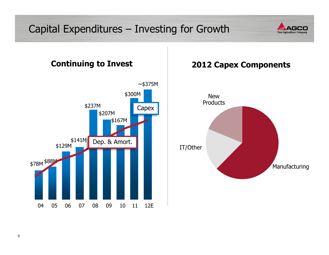# Capital Expenditures – Investing for Growth





### 2012 Capex Components

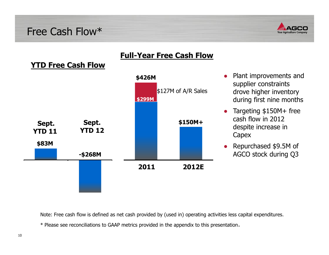### Free Cash Flow\*



### YTD Free Cash Flow



### Full-Year Free Cash Flow

- ● Plant improvements and supplier constraints drove higher inventory during first nine months
- ● Targeting \$150M+ free cash flow in 2012 despite increase in Capex
- ● Repurchased \$9.5M of AGCO stock during Q3

Note: Free cash flow is defined as net cash provided by (used in) operating activities less capital expenditures.

\* Please see reconciliations to GAAP metrics provided in the appendix to this presentation.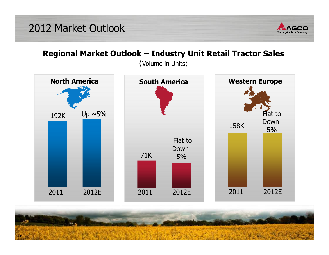

### Regional Market Outlook – Industry Unit Retail Tractor Sales

(Volume in Units)



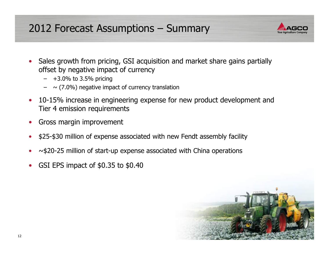## 2012 Forecast Assumptions – Summary



- $\bullet$  Sales growth from pricing, GSI acquisition and market share gains partially offset by negative impact of currency
	- +3.0% to 3.5% pricing
	- $\sim$  (7.0%) negative impact of currency translation
- • 10-15% increase in engineering expense for new product development and Tier 4 emission requirements
- •Gross margin improvement
- •\$25-\$30 million of expense associated with new Fendt assembly facility
- •~\$20-25 million of start-up expense associated with China operations
- •GSI EPS impact of \$0.35 to \$0.40

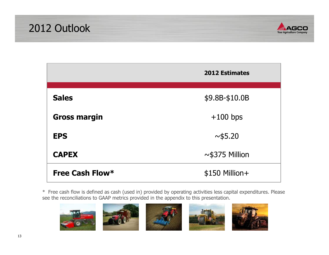



|                     | <b>2012 Estimates</b> |
|---------------------|-----------------------|
|                     |                       |
| <b>Sales</b>        | \$9.8B-\$10.0B        |
| <b>Gross margin</b> | $+100$ bps            |
| <b>EPS</b>          | ~1.20                 |
| <b>CAPEX</b>        | $\sim$ \$375 Million  |
| Free Cash Flow*     | \$150 Million+        |

\* Free cash flow is defined as cash (used in) provided by operating activities less capital expenditures. Please see the reconciliations to GAAP metrics provided in the appendix to this presentation.







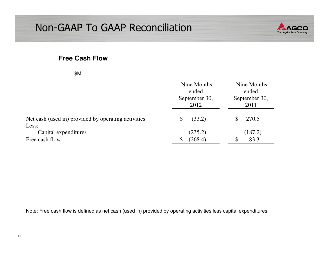## Non-GAAP To GAAP Reconciliation



#### **Free Cash Flow**

|                                                     | Nine Months<br>ended<br>September 30,<br>2012 | Nine Months<br>ended<br>September 30,<br>2011 |  |
|-----------------------------------------------------|-----------------------------------------------|-----------------------------------------------|--|
| Net cash (used in) provided by operating activities | (33.2)                                        | 270.5                                         |  |
| Less:<br>Capital expenditures                       | (235.2)                                       | (187.2)                                       |  |
| Free cash flow                                      | (268.4)                                       | 83.3                                          |  |

Note: Free cash flow is defined as net cash (used in) provided by operating activities less capital expenditures.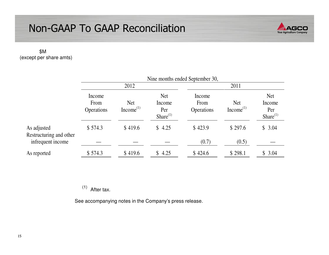## Non-GAAP To GAAP Reconciliation



#### \$M (except per share amts)

|                                        | Nine months ended September 30, |                                     |                                               |                                     |                                     |                                               |  |
|----------------------------------------|---------------------------------|-------------------------------------|-----------------------------------------------|-------------------------------------|-------------------------------------|-----------------------------------------------|--|
|                                        | 2012                            |                                     |                                               |                                     | 2011                                |                                               |  |
|                                        | Income<br>From<br>Operations    | <b>Net</b><br>Income <sup>(1)</sup> | <b>Net</b><br>Income<br>Per<br>Share $^{(1)}$ | Income<br>From<br><b>Operations</b> | <b>Net</b><br>Income <sup>(1)</sup> | <b>Net</b><br>Income<br>Per<br>Share $^{(1)}$ |  |
| As adjusted<br>Restructuring and other | \$574.3                         | \$419.6                             | \$4.25                                        | \$423.9                             | \$297.6                             | \$3.04                                        |  |
| infrequent income                      |                                 |                                     |                                               | (0.7)                               | (0.5)                               |                                               |  |
| As reported                            | \$574.3                         | \$419.6                             | \$4.25                                        | \$424.6                             | \$298.1                             | \$3.04                                        |  |

 $(1)$  After tax.

See accompanying notes in the Company's press release.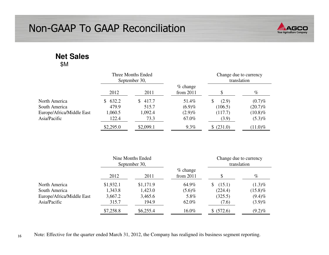

#### **Net Sales**\$M

|                           | Three Months Ended<br>September 30, |             |                           | Change due to currency<br>translation |            |
|---------------------------|-------------------------------------|-------------|---------------------------|---------------------------------------|------------|
|                           | 2012                                | 2011        | $%$ change<br>from $2011$ |                                       | $\%$       |
| North America             | 632.2<br>S.                         | 417.7<br>S. | 51.4%                     | (2.9)<br>S                            | $(0.7)\%$  |
| South America             | 479.9                               | 515.7       | $(6.9)\%$                 | (106.5)                               | $(20.7)\%$ |
| Europe/Africa/Middle East | 1,060.5                             | 1,092.4     | $(2.9)\%$                 | (117.7)                               | $(10.8)\%$ |
| Asia/Pacific              | 122.4                               | 73.3        | 67.0%                     | (3.9)                                 | $(5.3)\%$  |
|                           | \$2,295.0                           | \$2,099.1   | $9.3\%$                   | \$ (231.0)                            | $(11.0)\%$ |

|                           | Nine Months Ended<br>September 30, |           |                           | Change due to currency<br>translation |            |
|---------------------------|------------------------------------|-----------|---------------------------|---------------------------------------|------------|
|                           | 2012                               | 2011      | $%$ change<br>from $2011$ |                                       | $\%$       |
| North America             | \$1,932.1                          | \$1,171.9 | 64.9%                     | (15.1)                                | $(1.3)\%$  |
| South America             | 1,343.8                            | 1,423.0   | $(5.6)\%$                 | (224.4)                               | $(15.8)\%$ |
| Europe/Africa/Middle East | 3,667.2                            | 3,465.6   | 5.8%                      | (325.5)                               | $(9.4)\%$  |
| Asia/Pacific              | 315.7                              | 194.9     | 62.0%                     | (7.6)                                 | $(3.9)\%$  |
|                           | \$7,258.8                          | \$6,255.4 | 16.0%                     | \$ (572.6)                            | $(9.2)\%$  |

16Note: Effective for the quarter ended March 31, 2012, the Company has realigned its business segment reporting.